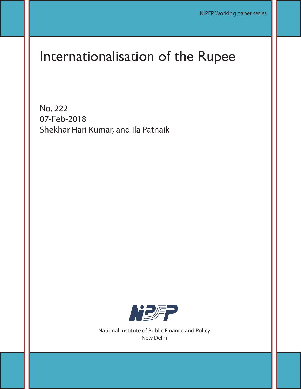# Internationalisation of the Rupee

No. 222 07-Feb-2018 Shekhar Hari Kumar, and Ila Patnaik



National Institute of Public Finance and Policy New Delhi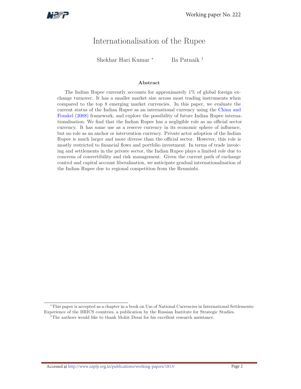

# Internationalisation of the Rupee

Shekhar Hari Kumar <sup>∗</sup> Ila Patnaik †

#### Abstract

The Indian Rupee currently accounts for approximately 1% of global foreign exchange turnover. It has a smaller market size across most trading instruments when compared to the top 8 emerging market currencies. In this paper, we evaluate the current status of the Indian Rupee as an international currency using the Chinn and Frankel (2008) framework, and explore the possibility of future Indian Rupee internationalisation. We find that the Indian Rupee has a negligible role as an official sector currency. It has some use as a reserve currency in its economic sphere of influence, but no role as an anchor or intervention currency. Private actor adoption of the Indian Rupee is much larger and more diverse than the official sector. However, this role is mostly restricted to financial flows and portfolio investment. In terms of trade invoicing and settlements in the private sector, the Indian Rupee plays a limited role due to concerns of convertibility and risk management. Given the current path of exchange control and capital account liberalisation, we anticipate gradual internationalisation of the Indian Rupee due to regional competition from the Renminbi.

<sup>∗</sup>This paper is accepted as a chapter in a book on Use of National Currencies in International Settlements: Experience of the BRICS countries, a publication by the Russian Institute for Strategic Studies. †The authors would like to thank Mohit Desai for his excellent research assistance.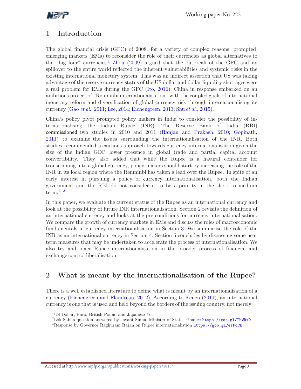

# 1 Introduction

The global financial crisis (GFC) of 2008, for a variety of complex reasons, prompted emerging markets (EMs) to reconsider the role of their currencies as global alternatives to the "big four" currencies.<sup>1</sup> Zhou (2009) argued that the outbreak of the GFC and its spillover to the entire world reflected the inherent vulnerabilities and systemic risks in the existing international monetary system. This was an indirect assertion that US was taking advantage of the reserve currency status of the US dollar and dollar liquidity shortages were a real problem for EMs during the GFC (Ito, 2016). China in response embarked on an ambitious project of "Renminbi internationalisation" with the coupled goals of international monetary reform and diversification of global currency risk through internationalising its currency (Gao et al., 2011; Lee, 2014; Eichengreen, 2013; Shu et al., 2015).

China's policy pivot prompted policy makers in India to consider the possibility of internationalising the Indian Rupee (INR). The Reserve Bank of India (RBI) commissioned two studies in 2010 and 2011 (Ranjan and Prakash, 2010; Gopinath, 2011) to examine the issues surrounding the internationalisation of the INR. Both studies recommended a cautious approach towards currency internationalisation given the size of the Indian GDP, lower presence in global trade and partial capital account convertibility. They also added that while the Rupee is a natural contender for transitioning into a global currency, policy-makers should start by increasing the role of the INR in its local region where the Renminbi has taken a lead over the Rupee. In spite of an early interest in pursuing a policy of currency internationalisation, both the Indian government and the RBI do not consider it to be a priority in the short to medium term.<sup>2</sup> <sup>3</sup>

In this paper, we evaluate the current status of the Rupee as an international currency and look at the possibility of future INR internationalisation. Section 2 revisits the definition of an international currency and looks at the pre-conditions for currency internationalisation. We compare the growth of currency markets in EMs and discuss the roles of macroeconomic fundamentals in currency internationalisation in Section 3. We summarise the role of the INR as an international currency in Section 4. Section 5 concludes by discussing some near term measures that may be undertaken to accelerate the process of internationalisation. We also try and place Rupee internationalisation in the broader process of financial and exchange control liberalisation.

## 2 What is meant by the internationalisation of the Rupee?

There is a well established literature to define what is meant by an internationalisation of a currency (Eichengreen and Flandreau, 2012). According to Kenen (2011), an international currency is one that is used and held beyond the borders of the issuing country, not merely

<sup>&</sup>lt;sup>1</sup>US Dollar, Euro, British Pound and Japanese Yen

<sup>&</sup>lt;sup>2</sup>Lok Sabha question answered by Jayant Sinha, Minister of State, Finance  $https://goo.g1/TbWRxD$ 

<sup>&</sup>lt;sup>3</sup>Response by Governor Raghuram Rajan on Rupee internationalistion https://goo.gl/eYPcCK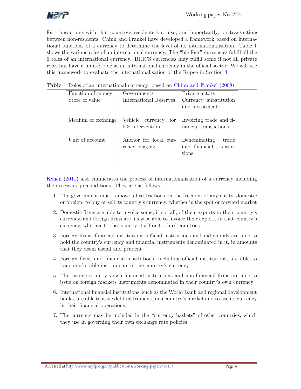

for transactions with that country's residents but also, and importantly, for transactions between non-residents. Chinn and Frankel have developed a framework based on international functions of a currency to determine the level of its internationalisation. Table 1 shows the various roles of an international currency. The "big four" currencies fulfill all the 6 roles of an international currency. BRICS currencies may fulfill some if not all private roles but have a limited role as an international currency in the official sector. We will use this framework to evaluate the internationalisation of the Rupee in Section 4.

| Function of money  | Governments                                | Private actors                                           |
|--------------------|--------------------------------------------|----------------------------------------------------------|
| Store of value     | International Reserves                     | Currency substitution<br>and investment                  |
| Medium of exchange | Vehicle currency<br>for<br>FX intervention | Invoicing trade and fi-<br>nancial transactions          |
| Unit of account.   | Anchor for local cur-<br>rency pegging     | Denominating<br>trade<br>and financial transac-<br>tions |

Kenen (2011) also enumerates the process of internationalisation of a currency including the necessary preconditions. They are as follows:

- 1. The government must remove all restrictions on the freedom of any entity, domestic or foreign, to buy or sell its country's currency, whether in the spot or forward market
- 2. Domestic firms are able to invoice some, if not all, of their exports in their country's currency, and foreign firms are likewise able to invoice their exports in that country's currency, whether to the country itself or to third countries
- 3. Foreign firms, financial institutions, official institutions and individuals are able to hold the country's currency and financial instruments denominated in it, in amounts that they deem useful and prudent
- 4. Foreign firms and financial institutions, including official institutions, are able to issue marketable instruments in the country's currency
- 5. The issuing country's own financial institutions and non-financial firms are able to issue on foreign markets instruments denominated in their country's own currency
- 6. International financial institutions, such as the World Bank and regional development banks, are able to issue debt instruments in a country's market and to use its currency in their financial operations.
- 7. The currency may be included in the "currency baskets" of other countries, which they use in governing their own exchange rate policies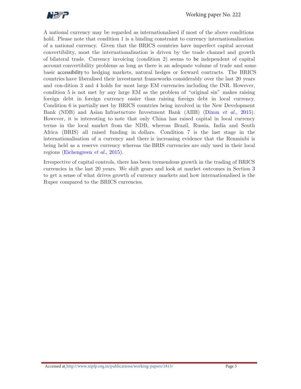

A national currency may be regarded as internationalised if most of the above conditions hold. Please note that condition 1 is a binding constraint to currency internationalisation of a national currency. Given that the BRICS countries have imperfect capital account convertibility, most the internationalisation is driven by the trade channel and growth of bilateral trade. Currency invoicing (condition 2) seems to be independent of capital account convertibility problems as long as there is an adequate volume of trade and some basic accessibility to hedging markets, natural hedges or forward contracts. The BRICS countries have liberalised their investment frameworks considerably over the last 20 years and con-dition 3 and 4 holds for most large EM currencies including the INR. However, condition 5 is not met by any large EM as the problem of "original sin" makes raising foreign debt in foreign currency easier than raising foreign debt in local currency. Condition 6 is partially met by BRICS countries being involved in the New Development Bank (NDB) and Asian Infrastucture Investment Bank (AIIB) (Dixon et al., 2015). However, it is interesting to note that only China has raised capital in local currency terms in the local market from the NDB, whereas Brazil, Russia, India and South Africa (BRIS) all raised funding in dollars. Condition 7 is the last stage in the internationalisation of a currency and there is increasing evidence that the Renminbi is being held as a reserve currency whereas the BRIS currencies are only used in their local regions (Eichengreen et al., 2015).

Irrespective of capital controls, there has been tremendous growth in the trading of BRICS currencies in the last 20 years. We shift gears and look at market outcomes in Section 3 to get a sense of what drives growth of currency markets and how internationalised is the Rupee compared to the BRICS currencies.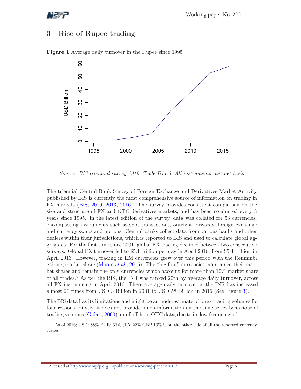

## 3 Rise of Rupee trading



Figure 1 Average daily turnover in the Rupee since 1995

The triennial Central Bank Survey of Foreign Exchange and Derivatives Market Activity published by BIS is currently the most comprehensive source of information on trading in FX markets (BIS, 2010, 2013, 2016). The survey provides consistent comparison on the size and structure of FX and OTC derivatives markets, and has been conducted every 3 years since 1995. In the latest edition of the survey, data was collated for 53 currencies, encompassing instruments such as spot transactions, outright forwards, foreign exchange and currency swaps and options. Central banks collect data from various banks and other dealers within their jurisdictions, which is reported to BIS and used to calculate global aggregates. For the first time since 2001, global FX trading declined between two consecutive surveys. Global FX turnover fell to \$5.1 trillion per day in April 2016, from \$5.4 trillion in April 2013. However, trading in EM currencies grew over this period with the Renminbi gaining market share (Moore  $et al., 2016$ ). The "big four" currencies maintained their market shares and remain the only currencies which account for more than 10% market share of all trades. <sup>4</sup> As per the BIS, the INR was ranked 20th by average daily turnover, across all FX instruments in April 2016. There average daily turnover in the INR has increased almost 20 times from USD 3 Billion in 2001 to USD 58 Billion in 2016 (See Figure 3).

The BIS data has its limitations and might be an underestimate of forex trading volumes for four reasons. Firstly, it does not provide much information on the time series behaviour of trading volumes (Galati, 2000), or of offshore OTC data, due to its low frequency of

Source: BIS triennial survey 2016, Table D11.3, All instruments, net-net basis

<sup>4</sup>As of 2016; USD: 88% EUR: 31% JPY:22% GBP:13% is on the other side of all the reported currency trades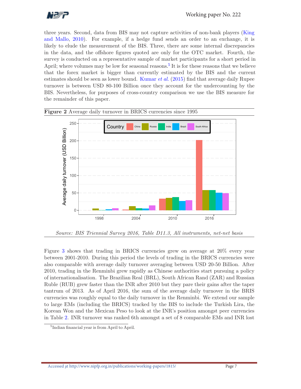

three years. Second, data from BIS may not capture activities of non-bank players (King and Mallo, 2010). For example, if a hedge fund sends an order to an exchange, it is likely to elude the measurement of the BIS. Three, there are some internal discrepancies in the data, and the offshore figures quoted are only for the OTC market. Fourth, the survey is conducted on a representative sample of market participants for a short period in April; where volumes may be low for seasonal reasons.<sup>5</sup> It is for these reasons that we believe that the forex market is bigger than currently estimated by the BIS and the current estimates should be seen as lower bound. Kumar *et al.* (2015) find that average daily Rupee turnover is between USD 80-100 Billion once they account for the undercounting by the BIS. Nevertheless, for purposes of cross-country comparison we use the BIS measure for the remainder of this paper.





Figure 3 shows that trading in BRICS currencies grew on average at 20% every year between 2001-2010. During this period the levels of trading in the BRICS currencies were also comparable with average daily turnover averaging between USD 20-50 Billion. After 2010, trading in the Renminbi grew rapidly as Chinese authorities start pursuing a policy of internationalisation. The Brazilian Real (BRL), South African Rand (ZAR) and Russian Ruble (RUB) grew faster than the INR after 2010 but they pare their gains after the taper tantrum of 2013. As of April 2016, the sum of the average daily turnover in the BRIS currencies was roughly equal to the daily turnover in the Renminbi. We extend our sample to large EMs (including the BRICS) tracked by the BIS to include the Turkish Lira, the Korean Won and the Mexican Peso to look at the INR's position amongst peer currencies in Table 2. INR turnover was ranked 6th amongst a set of 8 comparable EMs and INR lost

<sup>&</sup>lt;sup>5</sup>Indian financial year is from April to April.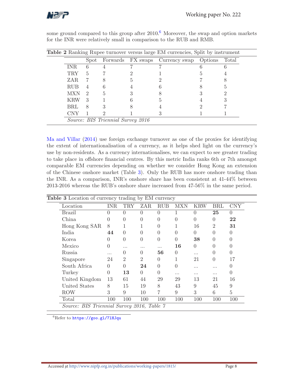

|            |               |                                          | <b>Table 2</b> Ranking Rupee turnover versus large EM currencies, Split by instrument |       |
|------------|---------------|------------------------------------------|---------------------------------------------------------------------------------------|-------|
|            | Spot          |                                          | Forwards FX swaps Currency swap Options                                               | Total |
| <b>INR</b> | 6             |                                          |                                                                                       |       |
| <b>TRY</b> | 5             |                                          |                                                                                       |       |
| ZAR        |               |                                          |                                                                                       |       |
| <b>RUB</b> | 4             |                                          |                                                                                       |       |
| <b>MXN</b> | $\mathcal{D}$ | 5                                        |                                                                                       |       |
| <b>KRW</b> | 3             |                                          |                                                                                       |       |
| BRL        | 8             |                                          |                                                                                       |       |
| CNY        |               |                                          |                                                                                       |       |
|            |               | <i>Source: BIS Triennial Survey 2016</i> |                                                                                       |       |

some ground compared to this group after 2010.<sup>6</sup> Moreover, the swap and option markets for the INR were relatively small in comparison to the RUB and RMB.

Ma and Villar (2014) use foreign exchange turnover as one of the proxies for identifying the extent of internationalisation of a currency, as it helps shed light on the currency's use by non-residents. As a currency internationalises, we can expect to see greater trading to take place in offshore financial centres. By this metric India ranks 6th or 7th amongst comparable EM currencies depending on whether we consider Hong Kong an extension of the Chinese onshore market (Table 3). Only the RUB has more onshore trading than the INR. As a comparison, INR's onshore share has been consistent at 41-44% between 2013-2016 whereas the RUB's onshore share increased from 47-56% in the same period.

| <b>Table 3</b> Location of currency trading by EM currency |                  |                  |                  |          |                  |            |                  |                  |
|------------------------------------------------------------|------------------|------------------|------------------|----------|------------------|------------|------------------|------------------|
| Location                                                   | INR              | <b>TRY</b>       | ZAR              | RUB      | MXN              | <b>KRW</b> | <b>BRL</b>       | <b>CNY</b>       |
| Brazil                                                     | $\Omega$         | 0                | $\Omega$         | $\Omega$ |                  | $\Omega$   | 25               | $\Omega$         |
| China                                                      | 0                | $\left( \right)$ | $\Omega$         | 0        | $\left( \right)$ | 0          | 0                | 22               |
| Hong Kong SAR                                              | 8                | 1                |                  | 0        |                  | 16         | $\overline{2}$   | 31               |
| India                                                      | 44               | $\left( \right)$ | 0                | 0        | 0                | 0          | $\mathbf{0}$     | $\mathbf{0}$     |
| Korea                                                      | $\left( \right)$ | 0                | $\left($         | 0        |                  | 38         | $\left( \right)$ |                  |
| Mexico                                                     | 0                | .                |                  |          | 16               | $\Omega$   | $\left( \right)$ |                  |
| Russia                                                     |                  | 0                | $\left( \right)$ | 56       | 0                | .          |                  |                  |
| Singapore                                                  | 24               | $\overline{2}$   | $\overline{2}$   | 0        |                  | 21         | $\Omega$         | 17               |
| South Africa                                               | 0                | $\Omega$         | 24               | $\theta$ | $\mathbf{0}$     | .          | $\cdots$         |                  |
| Turkey                                                     | $\Omega$         | 13               | $\Omega$         | 0        | .                | .          |                  | $\left( \right)$ |
| United Kingdom                                             | 13               | 61               | 44               | 29       | 29               | 13         | 21               | 16               |
| United States                                              | 8                | 15               | 19               | 8        | 43               | 9          | 45               | 9                |
| <b>ROW</b>                                                 | 3                | 9                | 10               | 7        | 9                | 3          | 6                | 5                |
| Total                                                      | 100              | 100              | 100              | 100      | 100              | 100        | 100              | 100              |

<sup>6</sup>Refer to https://goo.gl/7lHJqu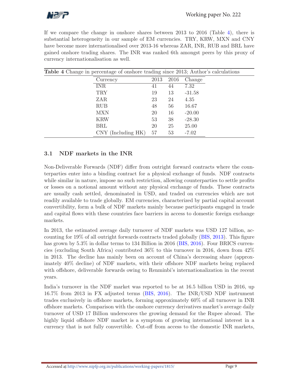

If we compare the change in onshore shares between 2013 to 2016 (Table 4), there is substantial heterogeneity in our sample of EM currencies. TRY, KRW, MXN and CNY have become more internationalised over 2013-16 whereas ZAR, INR, RUB and BRL have gained onshore trading shares. The INR was ranked 6th amongst peers by this proxy of currency internationalisation as well.

| <b>Table 4</b> Change in percentage of onshore trading since 2013; Author's calculations |      |      |          |  |
|------------------------------------------------------------------------------------------|------|------|----------|--|
| Currency                                                                                 | 2013 | 2016 | Change   |  |
| <b>INR</b>                                                                               | 41   | 44   | 7.32     |  |
| <b>TRY</b>                                                                               | 19   | 13   | $-31.58$ |  |
| ZAR                                                                                      | 23   | 24   | 4.35     |  |
| <b>RUB</b>                                                                               | 48   | 56   | 16.67    |  |
| <b>MXN</b>                                                                               | 20   | 16   | $-20.00$ |  |
| <b>KRW</b>                                                                               | 53   | 38   | $-28.30$ |  |
| <b>BRL</b>                                                                               | 20   | 25   | 25.00    |  |
| (Including HK)<br>CNY.                                                                   | 57   | 53   | $-7.02$  |  |

## 3.1 NDF markets in the INR

Non-Deliverable Forwards (NDF) differ from outright forward contracts where the counterparties enter into a binding contract for a physical exchange of funds. NDF contracts while similar in nature, impose no such restriction, allowing counterparties to settle profits or losses on a notional amount without any physical exchange of funds. These contracts are usually cash settled, denominated in USD, and traded on currencies which are not readily available to trade globally. EM currencies, characterized by partial capital account convertibility, form a bulk of NDF markets mainly because participants engaged in trade and capital flows with these countries face barriers in access to domestic foreign exchange markets.

In 2013, the estimated average daily turnover of NDF markets was USD 127 billion, accounting for 19% of all outright forwards contracts traded globally (BIS, 2013). This figure has grown by 5.3% in dollar terms to 134 Billion in 2016 (BIS, 2016). Four BRICS currencies (excluding South Africa) contributed 36% to this turnover in 2016, down from 42% in 2013. The decline has mainly been on account of China's decreasing share (approximately 40% decline) of NDF markets, with their offshore NDF markets being replaced with offshore, deliverable forwards owing to Renminbi's internationalization in the recent years.

India's turnover in the NDF market was reported to be at 16.5 billion USD in 2016, up 16.7% from 2013 in FX adjusted terms (BIS, 2016). The INR/USD NDF instrument trades exclusively in offshore markets, forming approximately 60% of all turnover in INR offshore markets. Comparison with the onshore currency derivatives market's average daily turnover of USD 17 Billion underscores the growing demand for the Rupee abroad. The highly liquid offshore NDF market is a symptom of growing international interest in a currency that is not fully convertible. Cut-off from access to the domestic INR markets,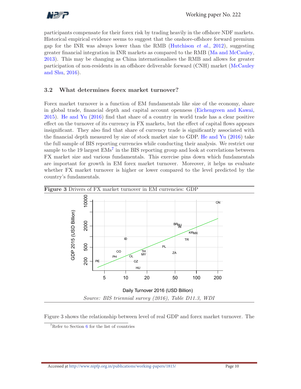

participants compensate for their forex risk by trading heavily in the offshore NDF markets. Historical empirical evidence seems to suggest that the onshore-offshore forward premium gap for the INR was always lower than the RMB (Hutchison *et al.*, 2012), suggesting greater financial integration in INR markets as compared to the RMB (Ma and McCauley, 2013). This may be changing as China internationalises the RMB and allows for greater participation of non-residents in an offshore deliverable forward (CNH) market (McCauley and Shu, 2016).

## 3.2 What determines forex market turnover?

Forex market turnover is a function of EM fundamentals like size of the economy, share in global trade, financial depth and capital account openness (Eichengreen and Kawai, 2015). He and Yu (2016) find that share of a country in world trade has a clear positive effect on the turnover of its currency in FX markets, but the effect of capital flows appears insignificant. They also find that share of currency trade is significantly associated with the financial depth measured by size of stock market size to GDP. He and Yu (2016) take the full sample of BIS reporting currencies while conducting their analysis. We restrict our sample to the 19 largest  $EMs^7$  in the BIS reporting group and look at correlations between FX market size and various fundamentals. This exercise pins down which fundamentals are important for growth in EM forex market turnover. Moreover, it helps us evaluate whether FX market turnover is higher or lower compared to the level predicted by the country's fundamentals.



Figure 3 shows the relationship between level of real GDP and forex market turnover. The

 $7$ Refer to Section 6 for the list of countries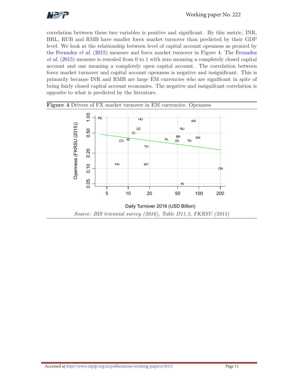

correlation between these two variables is positive and significant. By this metric, INR, BRL, RUB and RMB have smaller forex market turnover than predicted by their GDP level. We look at the relationship between level of capital account openness as proxied by the Fernndez et al. (2015) measure and forex market turnover in Figure 4. The Fernndez et al. (2015) measure is rescaled from 0 to 1 with zero meaning a completely closed capital account and one meaning a completely open capital account. The correlation between forex market turnover and capital account openness is negative and insignificant. This is primarily because INR and RMB are large EM currencies who are significant in spite of being fairly closed capital account economies. The negative and insignifcant correlation is opposite to what is predicted by the literature.



Figure 4 Drivers of FX market turnover in EM currencies: Openness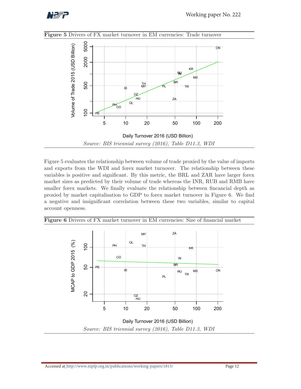



Figure 5 evaluates the relationship between volume of trade proxied by the value of imports and exports from the WDI and forex market turnover. The relationship between these variables is positive and significant. By this metric, the BRL and ZAR have larger forex market sizes as predicted by their volume of trade whereas the INR, RUB and RMB have smaller forex markets. We finally evaluate the relationship between fincancial depth as proxied by market capitalisation to GDP to forex market turnover in Figure 6. We find a negative and insignificant correlation between these two variables, similar to capital account openness.



Figure 6 Drivers of FX market turnover in EM currencies: Size of financial market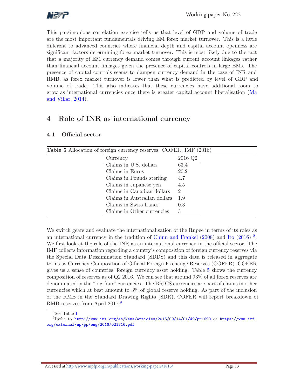

This parsimonious correlation exercise tells us that level of GDP and volume of trade are the most important fundamentals driving EM forex market turnover. This is a little different to advanced countries where financial depth and capital account openness are significant factors determining forex market turnover. This is most likely due to the fact that a majority of EM currency demand comes through current account linkages rather than financial account linkages given the presence of capital controls in large EMs. The presence of capital controls seems to dampen currency demand in the case of INR and RMB, as forex market turnover is lower than what is predicted by level of GDP and volume of trade. This also indicates that these currencies have additional room to grow as international currencies once there is greater capital account liberalisation (Ma and Villar, 2014).

## 4 Role of INR as international currency

| Official sector<br>4.1 |  |
|------------------------|--|
|------------------------|--|

| <b>Table 5</b> Allocation of foreign currency reserves: COFER, IMF (2016) |         |
|---------------------------------------------------------------------------|---------|
| Currency                                                                  | 2016 Q2 |
| Claims in U.S. dollars                                                    | 63.4    |
| Claims in Euros                                                           | 20.2    |
| Claims in Pounds sterling                                                 | 4.7     |
| Claims in Japanese yen                                                    | 4.5     |
| Claims in Canadian dollars                                                | 2       |
| Claims in Australian dollars                                              | 1.9     |
| Claims in Swiss francs                                                    | 0.3     |
| Claims in Other currencies                                                | 3       |

We switch gears and evaluate the internationalisation of the Rupee in terms of its roles as an international currency in the tradition of Chinn and Frankel (2008) and Ito (2016)<sup>8</sup>. We first look at the role of the INR as an international currency in the official sector. The IMF collects information regarding a country's composition of foreign currency reserves via the Special Data Dessimination Standard (SDDS) and this data is released in aggregate terms as Currency Composition of Official Foreign Exchange Reserves (COFER). COFER gives us a sense of countries' foreign currency asset holding. Table 5 shows the currency composition of reserves as of Q2 2016. We can see that around 93% of all forex reserves are denominated in the "big-four" currencies. The BRICS currencies are part of claims in other currencies which at best amount to 3% of global reserve holding. As part of the inclusion of the RMB in the Standard Drawing Rights (SDR), COFER will report breakdown of RMB reserves from April 2017.<sup>9</sup>

<sup>8</sup>See Table 1

 $^{9}$ Refer to http://www.imf.org/en/News/Articles/2015/09/14/01/49/pr1690 or https://www.imf. org/external/np/pp/eng/2016/021816.pdf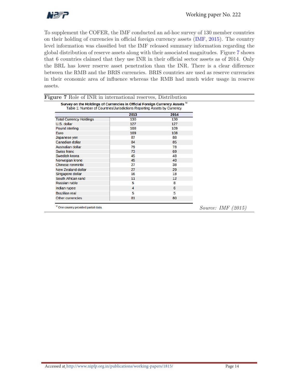

To supplement the COFER, the IMF conducted an ad-hoc survey of 130 member countries on their holding of currencies in official foreign currency assets (IMF, 2015). The country level information was classified but the IMF released summary information regarding the global distribution of reserve assets along with their associated magnitudes. Figure 7 shows that 6 countries claimed that they use INR in their official sector assets as of 2014. Only the BRL has lower reserve asset penetration than the INR. There is a clear difference between the RMB and the BRIS currencies. BRIS countries are used as reserve currencies in their economic area of influence whereas the RMB had much wider usage in reserve assets.

| Table 1: Number of Countries/Jurisdictions Reporting Assets by Currency | 2013 | 2014 |  |
|-------------------------------------------------------------------------|------|------|--|
| <b>Total Currency Holdings</b>                                          | 130  | 130  |  |
| U.S. dollar                                                             | 127  | 127  |  |
| <b>Pound sterling</b>                                                   | 108  | 109  |  |
| Euro                                                                    | 109  | 108  |  |
| Japanese yen                                                            | 87   | 88   |  |
| <b>Canadian dollar</b>                                                  | 84   | 85   |  |
| <b>Australian dollar</b>                                                | 79   | 78   |  |
| Swiss franc                                                             | 73   | 69   |  |
| Swedish krona                                                           | 45   | 48   |  |
| Norwegian krone                                                         | 45   | 40   |  |
| Chinese renminbi                                                        | 27   | 38   |  |
| <b>New Zealand dollar</b>                                               | 27   | 29   |  |
| Singapore dollar                                                        | 16   | 18   |  |
| South African rand                                                      | 11   | 12   |  |
| <b>Russian ruble</b>                                                    | 5    | 8    |  |
| Indian rupee                                                            | 4    | 6    |  |
| <b>Brazilian real</b>                                                   | 5    | 5    |  |
| Other currencies                                                        | 81   | 80   |  |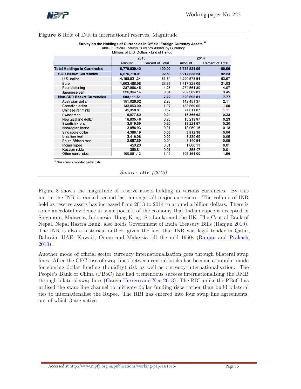

|  |  |  |  |  |  | <b>Figure 8</b> Role of INR in international reserves, Magnitude |  |  |  |
|--|--|--|--|--|--|------------------------------------------------------------------|--|--|--|
|--|--|--|--|--|--|------------------------------------------------------------------|--|--|--|

| Survey on the Holdings of Currencies in Official Foreign Currency Assets " |
|----------------------------------------------------------------------------|
| Table 3: Official Foreign Currency Assets by Currency                      |

|                                     | Millions of U.S. Dollars - End of Period |                  |              |                  |  |
|-------------------------------------|------------------------------------------|------------------|--------------|------------------|--|
|                                     | 2013                                     |                  | 2014         |                  |  |
|                                     | Amount                                   | Percent of Total | Amount       | Percent of Total |  |
| <b>Total Holdings in Currencies</b> | 6,779,830.42                             | 100.00           | 6,738,534.06 | 100.00           |  |
| <b>SDR Basket Currencies</b>        | 6,276,718.91                             | 92.58            | 6,214,838.24 | 92.23            |  |
| U.S. dollar                         | 4,158,921.34                             | 61.34            | 4,290,575.54 | 63.67            |  |
| Euro                                | 1,603,466.98                             | 23.65            | 1,417,328.09 | 21.03            |  |
| Pound sterling                      | 287,966.45                               | 4.25             | 274,564.80   | 4.07             |  |
| Japanese yen                        | 226,364.14                               | 3.34             | 232,369.81   | 3.45             |  |
| <b>Non-SDR Basket Currencies</b>    | 503.111.51                               | 7.42             | 523,695.81   | 7.77             |  |
| Australian dollar                   | 151.026.62                               | 2.23             | 142.451.37   | 2.11             |  |
| Canadian dollar                     | 133,863.09                               | 1.97             | 133,869.60   | 1.99             |  |
| Chinese renminbi                    | 45,358.87                                | 0.67             | 74,611.87    | 1.11             |  |
| Swiss franc                         | 16,077.82                                | 0.24             | 15.365.62    | 0.23             |  |
| New Zealand dollar                  | 16.805.46                                | 0.25             | 15.213.97    | 0.23             |  |
| Swedish krona                       | 13,819.59                                | 0.20             | 13,224.57    | 0.20             |  |
| Norwegian krone                     | 13,956.93                                | 0.21             | 12,050.16    | 0.18             |  |
| Singapore dollar                    | 4,388.19                                 | 0.06             | 3.912.38     | 0.06             |  |
| Brazilian real                      | 3.416.08                                 | 0.05             | 3.335.65     | 0.05             |  |
| South African rand                  | 2,687.69                                 | 0.04             | 3,140.54     | 0.05             |  |
| Indian rupee                        | 459.23                                   | 0.01             | 1,000.11     | 0.01             |  |
| Russian ruble                       | 360.81                                   | 0.01             | 355.97       | 0.01             |  |
| Other currencies                    | 100,891.13                               | 1.49             | 105,164.00   | 1.56             |  |

<sup>1/</sup> One country provided partial data.

Source: IMF (2015)

Figure 8 shows the magnitude of reserve assets holding in various currencies. By this metric the INR is ranked second last amongst all major currencies. The volume of INR held as reserve assets has increased from 2013 to 2014 to around a billion dollars. There is some anecdotal evidence in some pockets of the economy that Indian rupee is accepted in Singapore, Malaysia, Indonesia, Hong Kong, Sri Lanka and the UK. The Central Bank of Nepal, Nepal Rastra Bank, also holds Government of India Treasury Bills (Ranjan 2010). The INR is also a historical outlier, given the fact that INR was legal tender in Qatar, Bahrain, UAE, Kuwait, Oman and Malaysia till the mid 1960s (Ranjan and Prakash, 2010).

Another mode of official sector currency internationalisation goes through bilateral swap lines. After the GFC, use of swap lines between central banks has become a popular mode for sharing dollar funding (liquidity) risk as well as currency internationalisation. The People's Bank of China (PBoC) has had tremendous success internationalising the RMB through bilateral swap lines (Garcia-Herrero and Xia, 2013). The RBI unlike the PBoC has utilised the swap line channel to mitigate dollar funding risks rather than build bilateral ties to internationalise the Rupee. The RBI has entered into four swap line agreements, out of which 3 are active.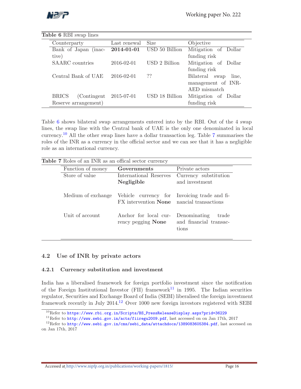

| Table 6 RBI swap lines       |              |                |                            |
|------------------------------|--------------|----------------|----------------------------|
| Counterparty                 | Last renewal | <b>Size</b>    | Objective                  |
| Bank of Japan (inac-         | 2014-01-01   | USD 50 Billion | Mitigation of Dollar       |
| tive)                        |              |                | funding risk               |
| SAARC countries              | 2016-02-01   | USD 2 Billion  | Mitigation of Dollar       |
|                              |              |                | funding risk               |
| Central Bank of UAE          | 2016-02-01   | ??             | Bilateral<br>line,<br>swap |
|                              |              |                | management of INR-         |
|                              |              |                | AED mismatch               |
| (Contingent)<br><b>BRICS</b> | 2015-07-01   | USD 18 Billion | Mitigation of Dollar       |
| Reserve arrangement)         |              |                | funding risk               |
|                              |              |                |                            |

Table 6 shows bilateral swap arrangements entered into by the RBI. Out of the 4 swap lines, the swap line with the Central bank of UAE is the only one denominated in local currency. <sup>10</sup> All the other swap lines have a dollar transaction leg. Table 7 summarises the roles of the INR as a currency in the official sector and we can see that it has a negligible role as an international currency.

| Function of money  | Governments                                                                                      | Private actors                                           |  |
|--------------------|--------------------------------------------------------------------------------------------------|----------------------------------------------------------|--|
| Store of value     | International Reserves<br>Negligible                                                             | Currency substitution<br>and investment                  |  |
| Medium of exchange | Vehicle currency for Invoicing trade and fi-<br>FX intervention <b>None</b> nancial transactions |                                                          |  |
| Unit of account    | Anchor for local cur-<br>rency pegging None                                                      | Denominating<br>trade<br>and financial transac-<br>tions |  |

#### 4.2 Use of INR by private actors

#### 4.2.1 Currency substitution and investment

India has a liberalised framework for foreign portfolio investment since the notification of the Foreign Institutional Investor (FII) framework<sup>11</sup> in 1995. The Indian securities regulator, Securities and Exchange Board of India (SEBI) liberalised the foreign investment framework recently in July 2014.<sup>12</sup> Over 1000 new foreign investors registered with SEBI

 $^{10}$ Refer to https://www.rbi.org.in/Scripts/BS\_PressReleaseDisplay.aspx?prid=36229

<sup>&</sup>lt;sup>11</sup>Refer to http://www.sebi.gov.in/acts/fiiregu2009.pdf, last accessed on on Jan 17th, 2017

 $^{12}$ Refer to http://www.sebi.gov.in/cms/sebi\_data/attachdocs/1389083605384.pdf, last accessed on on Jan 17th, 2017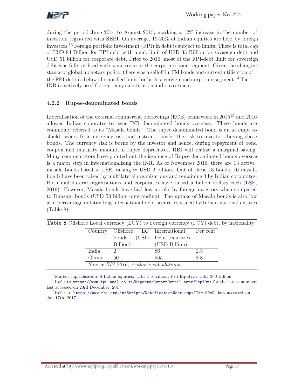

during the period June 2014 to August 2015, marking a 12% increase in the number of investors registered with SEBI. On average, 19-20% of Indian equities are held by foreign investors. <sup>13</sup> Foreign portfolio investment (FPI) in debt is subject to limits, There is total cap of USD 84 Billion for FPI-debt with a sub limit of USD 33 Billion for sovereign debt and USD 51 billion for corporate debt. Prior to 2016, most of the FPI-debt limit for sovereign debt was fully utilised with some room in the corporate bond segment. Given the changing stance of global monetary policy, t here was a selloff i n EM bonds and current utilisation of the FPI-debt i s below the notified limit f or both sovereign and corporate segment.<sup>14</sup> The INR i s actively used f or currency substitution and i nvestment.

#### 4.2.2 Rupee-denominated bonds

Liberalisation of the external commercial borrowings (ECB) framework in  $2015^{15}$  and  $2016$ allowed Indian coporates to issue INR denominated bonds overseas. These bonds are commonly referred to as "Masala bonds". The rupee denominated bond is an attempt to shield issuers from currency risk and instead transfer the risk to investors buying these bonds. The currency risk is borne by the investor and hence, during repayment of bond coupon and maturity amount, if rupee depreciates, RBI will realize a marginal saving. Many commentators have pointed out the issuance of Rupee denominated bonds overseas is a major step in internationalising the INR. As of November 2016, there are 13 active masala bonds listed in LSE, raising  $\approx$  USD 2 billion. Out of these 13 bonds, 10 masala bonds have been raised by multilateral organisations and remaining 3 by Indian corporates. Both multilateral organisations and corporates have raised a billion dollars each (LSE, 2016). However, Masala bonds have had low uptake by foreign investors when compared to Dimsum bonds (USD 50 billion outstanding). The uptake of Masala bonds is also low as a percentage outstanding international debt securities issued by Indian national entities  $(Table 8).$ 

| <b>Table 8</b> Offshore Local currency (LCY) to Foreign currency (FCY) debt, by nationality |       |                                         |                                            |     |  |
|---------------------------------------------------------------------------------------------|-------|-----------------------------------------|--------------------------------------------|-----|--|
|                                                                                             |       |                                         | Country Offshore LC International Per cent |     |  |
|                                                                                             |       |                                         | bonds (USD Debt securities)                |     |  |
|                                                                                             |       | Billion)                                | (USD Billion)                              |     |  |
|                                                                                             | India | 2                                       | 86                                         | 2.3 |  |
|                                                                                             | China | 50                                      | 565                                        | 8.8 |  |
|                                                                                             |       | Source: BIS 2016, Author's calculations |                                            |     |  |

<sup>13</sup>Market capitalisation of Indian equities: USD 1.5 trillion, FPI-Equity:≈ USD 300 Billion<br><sup>14</sup>Refer to https://www.fpi.nsdl.co.in/Reports/ReportDetail.aspx?RepID=1 for the latest number; last accessed on 23rd December, 2017

<sup>15</sup>Refer to https://www.rbi.org.in/Scripts/NotificationUser.aspx?Id=10049, last accessed on Jan 17th, 2017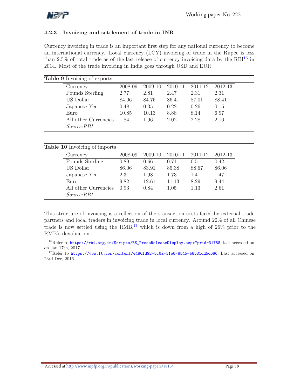

#### 4.2.3 Invoicing and settlement of trade in INR

Currency invoicing in trade is an important first step for any national currency to become an international currency. Local currency (LCY) invoicing of trade in the Rupee is less than 2.5% of total trade as of the last release of currency invoicing data by the  $RBI<sup>16</sup>$  in 2014. Most of the trade invoicing in India goes through USD and EUR.

| <b>Table 9</b> Invoicing of exports |         |         |         |         |         |
|-------------------------------------|---------|---------|---------|---------|---------|
| Currency                            | 2008-09 | 2009-10 | 2010-11 | 2011-12 | 2012-13 |
| Pounds Sterling                     | 2.77    | 2.81    | 2.47    | 2.31    | 2.31    |
| US Dollar                           | 84.06   | 84.75   | 86.41   | 87.01   | 88.41   |
| Japanese Yen                        | 0.48    | 0.35    | 0.22    | 0.26    | 0.15    |
| Euro                                | 10.85   | 10.13   | 8.88    | 8.14    | 6.97    |
| All other Currencies                | 1.84    | 1.96    | 2.02    | 2.28    | 2.16    |
| <i>Source:RBI</i>                   |         |         |         |         |         |

#### Table 10 Invoicing of imports

| Currency             | 2008-09                | 2009-10 | 2010-11 | 2011-12 | 2012-13 |
|----------------------|------------------------|---------|---------|---------|---------|
| Pounds Sterling      | 0.89                   | 0.66    | 0.71    | 0.5     | 0.42    |
| US Dollar            | 86.06                  | 83.91   | 85.38   | 88.67   | 86.06   |
| Japanese Yen         | 2.3                    | 1.98    | 1.73    | 1.41    | 1.47    |
| Euro                 | 9.82                   | 12.61   | 11.13   | 8.29    | 9.44    |
| All other Currencies | 0.93                   | 0.84    | 1.05    | 1.13    | 2.61    |
| <i>Source:RBI</i>    |                        |         |         |         |         |
|                      | $\smash{\smash{\cup}}$ |         |         |         |         |

This structure of invoicing is a reflection of the transaction costs faced by external trade partners and local traders in invoicing trade in local currency. Around 22% of all Chinese trade is now settled using the  $RMB$ ,<sup>17</sup> which is down from a high of  $26\%$  prior to the RMB's devaluation.

<sup>&</sup>lt;sup>16</sup>Refer to https://rbi.org.in/Scripts/BS\_PressReleaseDisplay.aspx?prid=31788, last accessed on on Jan 17th, 2017

<sup>&</sup>lt;sup>17</sup>Refer to https://www.ft.com/content/e480fd92-bc6a-11e6-8b45-b8b81dd5d080, Last accessed on 23rd Dec, 2016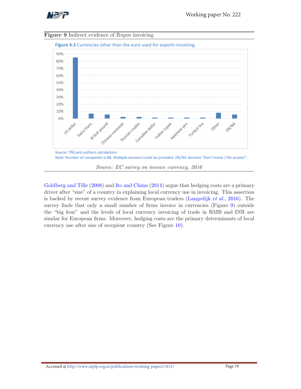





Goldberg and Tille (2008) and Ito and Chinn (2014) argue that hedging costs are a primary driver after "size" of a country in explaining local currency use in invoicing. This assertion is backed by recent survey evidence from European traders (Langedijk et al., 2016). The survey finds that only a small number of firms invoice in currencies (Figure 9) outside the "big four" and the levels of local currency invoicing of trade in RMB and INR are similar for European firms. Moreover, hedging costs are the primary determinants of local currency use after size of recepient country (See Figure 10).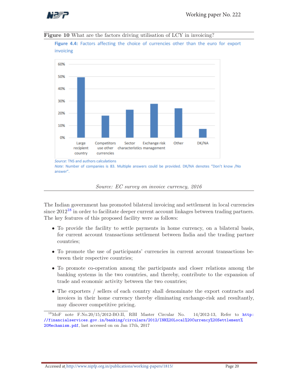



Figure 4.4: Factors affecting the choice of currencies other than the euro for export invoicing



Source: EC survey on invoice currency, 2016

The Indian government has promoted bilateral invoicing and settlement in local currencies since  $2012^{18}$  in order to facilitate deeper current account linkages between trading partners. The key features of this proposed facility were as follows:

- To provide the facility to settle payments in home currency, on a bilateral basis, for current account transactions settlement between India and the trading partner countries;
- To promote the use of participants' currencies in current account transactions between their respective countries;
- To promote co-operation among the participants and closer relations among the banking systems in the two countries, and thereby, contribute to the expansion of trade and economic activity between the two countries;
- The exporters / sellers of each country shall denominate the export contracts and invoices in their home currency thereby eliminating exchange-risk and resultantly, may discover competitive pricing.

 $^{18}$ MoF note F.No.20/15/2012-BO.II, RBI Master Circular No.  $14/2012-13$ , Refer to http: //financialservices.gov.in/banking/circulars/2012/INR%20Local%20Currency%20Settlement% 20Mechanism.pdf, last accessed on on Jan 17th, 2017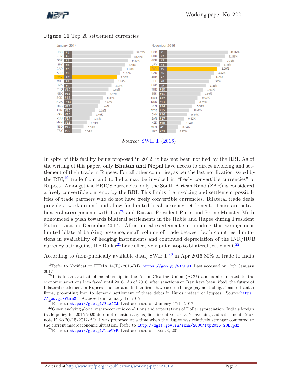



#### Figure 11 Top 20 settlement currencies

In spite of this facility being proposed in 2012, it has not been notified by the RBI. As of the writing of this paper, only **Bhutan and Nepal** have access to direct invoicing and settlement of their trade in Rupees. For all other countries, as per the last notification issued by the RBI,<sup>19</sup> trade from and to India may be invoiced in "freely convertible currencies" or Rupees. Amongst the BRICS currencies, only the South African Rand (ZAR) is considered a freely convertible currency by the RBI. This limits the invoicing and settlement possibilities of trade partners who do not have freely convertible currencies. Bilateral trade deals provide a work-around and allow for limited local currency settlement. There are active bilateral arrangements with Iran<sup>20</sup> and Russia. President Putin and Prime Minister Modi announced a push towards bilateral settlements in the Ruble and Rupee during President Putin's visit in December 2014. After initial excitement surrounding this arrangement limited bilateral banking presence, small volume of trade between both countries, limitations in availability of hedging instruments and continued depreciation of the INR/RUB currency pair against the  $\text{Dollar}^{21}$  have effectively put a stop to bilateral settlement.<sup>22</sup>

According to (non-publically available data) SWIFT, <sup>23</sup> in Apr 2016 80% of trade to India

<sup>&</sup>lt;sup>19</sup>Refer to Notification FEMA 14(R)/2016-RB, https://goo.gl/WAjL9G, Last accessed on 17th January 2017

<sup>&</sup>lt;sup>20</sup>This is an artefact of membership in the Asian Clearing Union (ACU) and is also related to the economic sanctions Iran faced until 2016. As of 2016, after sanctions on Iran have been lifted, the future of bilateral settlement in Rupees is uncertain. Indian firms have accrued large payment obligations to Iranian firms, prompting Iran to demand settlement of these debts in Euros instead of Rupees. Source:https: //goo.gl/VtmmXU, Accessed on January 17, 2017

 $^{21}$ Refer to https://goo.gl/ZkAfCJ, Last accessed on January 17th, 2017

<sup>&</sup>lt;sup>22</sup>Given evolving global macroeconomic conditions and expectations of Dollar appreciation, India's foreign trade policy for 2015-2020 does not mention any explicit incentive for LCY invoicing and settlement. MoF note F.No.20/15/2012-BO.II was proposed at a time when the Rupee was relatively stronger compared to the current macroeconomic situation. Refer to http://dgft.gov.in/exim/2000/ftp2015-20E.pdf

<sup>&</sup>lt;sup>23</sup>Refer to https://goo.gl/bazUrF, Last accessed on Dec 23, 2016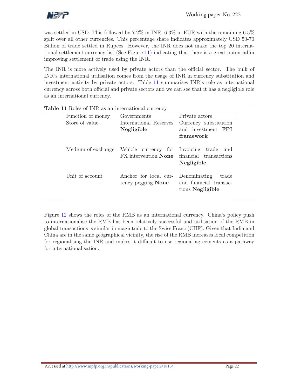

was settled in USD. This followed by  $7.2\%$  in INR,  $6.3\%$  in EUR with the remaining  $6.5\%$ split over all other currencies. This percentage share indicates approximately USD 50-70 Billion of trade settled in Rupees. However, the INR does not make the top 20 international settlement currency list (See Figure 11) indicating that there is a great potential in improving settlement of trade using the INR.

The INR is more actively used by private actors than the official sector. The bulk of INR's international utilisation comes from the usage of INR in currency substitution and investment activity by private actors. Table 11 summarises INR's role as international currency across both official and private sectors and we can see that it has a negligible role as an international currency.

| Function of money  | Governments                                                   | Private actors                                                      |
|--------------------|---------------------------------------------------------------|---------------------------------------------------------------------|
| Store of value     | International Reserves<br>Negligible                          | Currency substitution<br>and investment <b>FPI</b><br>framework     |
| Medium of exchange | Vehicle currency for Invoicing<br>FX intervention <b>None</b> | trade<br>and<br>financial transactions<br>Negligible                |
| Unit of account    | Anchor for local cur-<br>rency pegging None                   | Denominating<br>trade<br>and financial transac-<br>tions Negligible |

Figure 12 shows the roles of the RMB as an international currency. China's policy push to internationalise the RMB has been relatively successful and utilisation of the RMB in global transactions is similar in magnitude to the Swiss Franc (CHF). Given that India and China are in the same geographical vicinity, the rise of the RMB increases local competition for regionalising the INR and makes it difficult to use regional agreements as a pathway for internationalisation.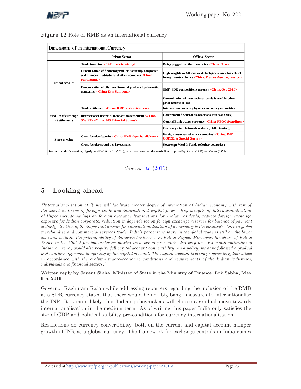

#### Figure 12 Role of RMB as an international currency

|                                    | <b>Private Sector</b>                                                                                                                           | <b>Official Sector</b>                                                                                                             |
|------------------------------------|-------------------------------------------------------------------------------------------------------------------------------------------------|------------------------------------------------------------------------------------------------------------------------------------|
|                                    | Trade invoicing <rmb invoicing="" trade=""></rmb>                                                                                               | Being pegged by other countries <china. none=""></china.>                                                                          |
|                                    | Denomination of financial products issued by companies<br>and financial institutions of other countries <china.<br>Panda bonds &gt;</china.<br> | High weights in (official or de facto) currency baskets of<br>foreign central banks <china. frankel-wei="" regression=""></china.> |
| Unit of account                    | Denomination of offshore financial products by domestic<br>companies < China. Dim Sum bond>                                                     | (IMF) SDR composition currency <china. 2016="" oct.=""></china.>                                                                   |
|                                    |                                                                                                                                                 | Denomination of international bonds is sued by other<br>governments or IFIs                                                        |
| Medium of exchange<br>(Settlement) | Trade settlement <china. rmb="" settlement="" trade=""></china.>                                                                                | Intervention currency by other monetary authorities                                                                                |
|                                    | International financial transaction settlement <china.< td=""><td>Government financial transactions (such as ODA)</td></china.<>                | Government financial transactions (such as ODA)                                                                                    |
|                                    | <b>SWIFT&gt; <china, bis="" survey="" triennial=""></china,></b>                                                                                | Central Bank s waps currency <china. pboc="" swaplines=""></china.>                                                                |
|                                    |                                                                                                                                                 | Currency circulation abroad (e.g., dollarization);                                                                                 |
| <b>Store of value</b>              | Cross-border deposits <china. deposits="" offshore="" rmb=""></china.>                                                                          | Foreign reserves (of other countries) <china. imf<br=""><b>COFER; &amp; Special Survey&gt;</b></china.>                            |
|                                    | <b>Cross-border securities investment</b>                                                                                                       | Sovereign Wealth Funds (of other countries)                                                                                        |

 $\overline{\phantom{a}}$ 

Source: Ito (2016)

## 5 Looking ahead

"Internationalization of Rupee will facilitate greater degree of integration of Indian economy with rest of the world in terms of foreign trade and international capital flows. Key benefits of internationalization of Rupee include savings on foreign exchange transactions for Indian residents, reduced foreign exchange exposure for Indian corporate, reduction in dependence on foreign exchange reserves for balance of payment stability etc. One of the important drivers for internationalization of a currency is the country*'*s share in global merchandise and commercial services trade. India*'*s percentage share in the global trade is still on the lower side and it limits the pricing ability of domestic businesses in Indian Rupee. Moreover, the share of Indian Rupee in the Global foreign exchange market turnover at present is also very low. Internationalization of Indian currency would also require full capital account convertibility. As a policy, we have followed a gradual and cautious approach in opening up the capital account. The capital account is being progressively liberalized in accordance with the evolving macro-economic conditions and requirements of the Indian industries, individuals and financial sectors."

#### Written reply by Jayant Sinha, Minister of State in the Ministry of Finance, Lok Sabha, May 6th, 2016

Governor Raghuram Rajan while addressing reporters regarding the inclusion of the RMB as a SDR currency stated that there would be no "big bang" measures to internationalise the INR. It is more likely that Indian policymakers will choose a gradual move towards internationalisation in the medium term. As of writing this paper India only satisfies the size of GDP and political stability pre-conditions for currency internationalisation.

Restrictions on currency convertibility, both on the current and capital account hamper growth of INR as a global currency. The framework for exchange controls in India comes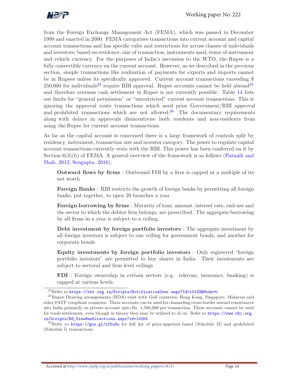

from the Foreign Exchange Management Act (FEMA), which was passed in December 1999 and enacted in 2000. FEMA categorises transactions into current account and capital account transactions and has specific rules and restrictions for across classes of individuals and investors; based on residence, size of transaction, instruments used, tenor of instrument and vehicle currency. For the purposes of India's ascension to the WTO, the Rupee is a fully convertible currency on the current account. However, as we described in the previous section, simple transactions like realization of payments for exports and imports cannot be in Rupees unless its specifically approved. Current account transactions exceeding \$  $250,000$  for individuals<sup>24</sup> require RBI approval. Rupee accounts cannot be held abroad<sup>25</sup> and therefore overseas cash settlement in Rupee is not currently possible. Table 14 lists out limits for "general permission" or "unrestricted" current account transactions. This is ignoring the approval route transactions which need prior Government/RBI approval and prohibited transactions which are not allowed.<sup>26</sup> The documentary requirements along with delays in approvals disincentivise both residents and non-residents from using the Rupee for current account transactions.

As far as the capital account is concerned there is a large framework of controls split by residency, instrument, transaction size and investor category. The power to regulate capital account transactions currently vests with the RBI. This power has been conferred on it by Section  $6(3)(b)$  of FEMA. A general overview of the framework is as follows (Patnaik and Shah, 2012; Sengupta, 2016):

Outward flows by firms : Outbound FDI by a firm is capped at a multiple of its net worth

Foreign Banks : RBI restricts the growth of foreign banks by permitting all foreign banks, put together, to open 20 branches a year

Foreign borrowing by firms : Maturity of loan, amount, interest rate, end-use and the sector to which the debtor firm belongs, are prescribed. The aggregate borrowing by all firms in a year is subject to a ceiling.

Debt investment by foreign portfolio investors : The aggregate investment by all foreign investors is subject to one ceiling for government bonds, and another for corporate bonds

Equity investments by foreign portfolio investors : Only registered "foreign portfolio investors" are permitted to buy shares in India. Their investments are subject to sectoral and firm level ceilings

FDI : Foreign ownership in certain sectors (e.g. telecom, insurance, banking) is capped at various levels

 $^{24}\rm{Refer}$  to  $\hbox{\texttt{https://rbi.org.in/Scripts/NotificationUser.argv?Id=10192\texttt{Mode}=0}}$ 

<sup>&</sup>lt;sup>25</sup>Rupee Drawing arrangements (RDA) exist with Gulf countries, Hong Kong, Singapore, Malaysia and other FATF compliant countries. These accounts can be used for channeling cross-border inward remittances into India primarily on private account upto Rs. 1,500,000 per transaction. These accounts cannot be used for trade settlement, even though in theory they may be utilised to do so. Refer to https://www.rbi.org. in/Scripts/BS\_ViewMasDirections.aspx?id=10205

<sup>&</sup>lt;sup>26</sup>Refer ro https://goo.gl/Lf5uSu for full list of prior-approval based (Schedule II) and prohibited (Schedule I) transactions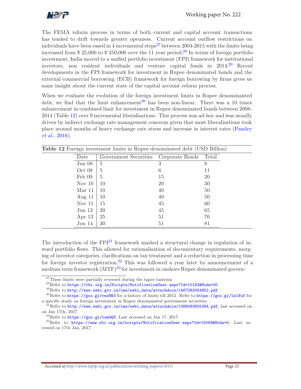

The FEMA reform process in terms of both current and capital account transactions has tended to drift towards greater openness. Current account outflow restrictions on individuals have been eased in 4 incremental steps<sup>27</sup> between 2004-2015 with the limits being increased from \$ 25,000 to \$ 250,000 over the 11 year period. <sup>28</sup> In terms of foreign portfolio investment, India moved to a unified portfolio investment (FPI) framework for institutional investors, non resident individuals and venture capital funds in 2014. <sup>29</sup> Recent developments in the FPI framework for investment in Rupee denominated bonds and the external commercial borrowing (ECB) framework for foreign borrowing by firms gives us some insight about the current state of the capital account reform process.

When we evaluate the evolution of the foreign investment limits in Rupee denominanted debt, we find that the limit enhancement<sup>30</sup> has been non-linear. There was a 10 times enhancement in combined limit for investment in Rupee denominated bonds between 2008- 2014 (Table 12) over 9 incremental liberalisations. This process was ad-hoc and was usually driven by indirect exchange rate management concerns given that most liberalisations took place around months of heavy exchange rate stress and increase in interest rates (Pandey et al., 2016).

| <b>Table 12</b> Foreign investment limits in Rupee denominated debt (USD Billion) |                                       |           |       |  |
|-----------------------------------------------------------------------------------|---------------------------------------|-----------|-------|--|
| Date                                                                              | Government Securities Corporate Bonds |           | Total |  |
| Jun 08                                                                            | 5                                     | 3         | 8     |  |
| Oct 08                                                                            | 5                                     | 6         | 11    |  |
| Feb 09                                                                            | 5                                     | 15        | 20    |  |
| Nov $10$                                                                          | 10                                    | <b>20</b> | 30    |  |
| Mar 11                                                                            | 10                                    | 40        | 50    |  |
| Aug $11$                                                                          | 10                                    | 40        | 50    |  |
| Nov $11$                                                                          | 15                                    | 45        | 60    |  |
| Jun 12                                                                            | 20                                    | 45        | 65    |  |
| Apr $13$                                                                          | 25                                    | 51        | 76    |  |
| $_{\text{Jun 14}}$                                                                | 30                                    | 51        | 81    |  |

Table 12 Foreign investment limits in Rupee denominated debt (USD Billion)

The introduction of the  $\text{FPI}^{31}$  framework marked a structural change in regulation of inward portfolio flows. This allowed for rationalisation of documentary requirements, merging of investor categories, clarifications on tax treatment and a reduction in processing time for foreign investor registration. <sup>32</sup> This was followed a year later by announcement of a medium term framework  $(MTF)^{33}$  for investment in onshore Rupee denominated govern-

<sup>28</sup>Refer to https://rbi.org.in/Scripts/NotificationUser.aspx?Id=10192&Mode=00

 $^{29}{\rm Refer}$  to  ${\tt http://www.sebi.gov.in/cms/sebi\_data/attachedocs/1467282054952.pdf}$ 

<sup>&</sup>lt;sup>27</sup>These limits were partially reversed during the taper tantrum

<sup>&</sup>lt;sup>30</sup>Refer to https://goo.gl/rnx8R3 for a history of limits till 2012. Refer to https://goo.gl/1z1Vuf for a specific study on foreign investment in Rupee denominated government securities

 $^{1}$ Refer to http://www.sebi.gov.in/cms/sebi\_data/attachdocs/1389083605384.pdf, last accessed on on Jan 17th, 2017

 ${}^{32}$ Refer to https://goo.gl/tnmWQY, Last accessed on Jan 17, 2017

<sup>33</sup>Refer to https://www.rbi.org.in/scripts/NotificationUser.aspx?Id=10059&Mode=0, Last accessed on 17th Jan, 2017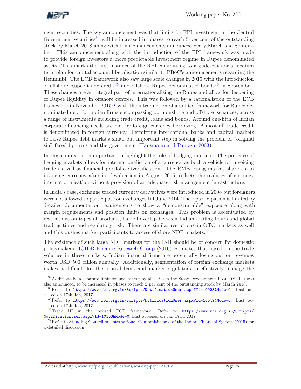

ment securities. The key announcement was that limits for FPI investment in the Central Government securities<sup>34</sup> will be increased in phases to reach 5 per cent of the outstanding stock by March 2018 along with limit enhancements announced every March and September. This announcement along with the introduction of the FPI framework was made to provide foreign investors a more predictable investment regime in Rupee denominated assets. This marks the first instance of the RBI committing to a glide-path or a medium term plan for capital account liberalisation similar to PBoC's announcements regarding the Renminbi. The ECB framework also saw large scale changes in 2015 with the introduction of offshore Rupee trade credit<sup>35</sup> and offshore Rupee denominated bonds<sup>36</sup> in September. These changes are an integral part of internationalising the Rupee and allow for deepening of Rupee liquidity in offshore centres. This was followed by a rationalistion of the ECB framework in November  $2015^{37}$  with the introduction of a unified framework for Rupee denominated debt for Indian firms encompassing both onshore and offshore issuances, across a range of instruments including trade credit, loans and bonds. Around one-fifth of Indian corporate financing needs are met by foreign currency borrowing. Almost all trade credit is denominated in foreign currency. Permitting international banks and capital markets to raise Rupee debt marks a small but important step in solving the problem of "original sin" faced by firms and the government (Hausmann and Panizza, 2003).

In this context, it is important to highlight the role of hedging markets. The presence of hedging markets allows for internationalistion of a currency as both a vehicle for invoicing trade as well as financial portfolio diversification. The RMB losing market share as an invoicing currency after its devaluation in August 2015, reflects the realities of currency internationalisation without provision of an adequate risk management infrastructure.

In India's case, exchange traded currency derivatives were introduced in 2008 but foreigners were not allowed to participate on exchanges till June 2014. Their participation is limited by detailed documentation requirements to show a "demonstratable" exposure along with margin requirements and position limits on exchanges. This problem is accentuated by restrictions on types of products, lack of overlap between Indian trading hours and global trading times and regulatory risk. There are similar restictions in OTC markets as well and this pushes market participants to access offshore NDF markets.<sup>38</sup>

The existence of such large NDF markets for the INR should be of concern for domestic policymakers. IGIDR Finance Research Group (2016) estimates that based on the trade volumes in these markets, Indian financial firms are potentially losing out on revenues worth USD 500 billion annually. Additionally, segmentation of foreign exchange markets makes it difficult for the central bank and market regulators to effectively manage the

<sup>&</sup>lt;sup>34</sup>Additionally, a separate limit for investment by all FPIs in the State Development Loans (SDLs) was also announced, to be increased in phases to reach 2 per cent of the outstanding stock by March 2018.

<sup>35</sup>Refer to https://www.rbi.org.in/Scripts/NotificationUser.aspx?Id=10023&Mode=0, Last accessed on 17th Jan, 2017

<sup>36</sup>Refer to https://www.rbi.org.in/Scripts/NotificationUser.aspx?Id=10049&Mode=0, Last accessed on 17th Jan, 2017

<sup>37</sup>Track III in the revised ECB framework, Refer to https://www.rbi.org.in/Scripts/ NotificationUser.aspx?Id=10153&Mode=0, Last accessed on Jan 17th, 2017

<sup>38</sup>Refer to Standing Council on International Competitiveness of the Indian Financial System (2015) for a detailed discussion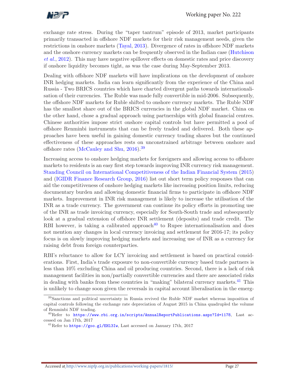

exchange rate stress. During the "taper tantrum" episode of 2013, market participants primarily transacted in offshore NDF markets for their risk management needs, given the restrictions in onshore markets (Tayal, 2013). Divergence of rates in offshore NDF markets and the onshore currency markets can be frequently observed in the Indian case (Hutchison et al., 2012). This may have negative spillover effects on domestic rates and price discovery if onshore liquidity becomes tight, as was the case during May-September 2013.

Dealing with offshore NDF markets will have implications on the development of onshore INR hedging markets. India can learn significantly from the experience of the China and Russia - Two BRICS countries which have charted divergent paths towards internationalisation of their currencies. The Ruble was made fully convertible in mid-2006. Subsequently, the offshore NDF markets for Ruble shifted to onshore currency markets. The Ruble NDF has the smallest share out of the BRICS currencies in the global NDF market. China on the other hand, chose a gradual approach using partnerships with global financial centres. Chinese authorities impose strict onshore capital controls but have permitted a pool of offshore Renminbi instruments that can be freely traded and delivered. Both these approaches have been useful in gaining domestic currency trading shares but the continued effectiveness of these approaches rests on unconstrained arbitrage between onshore and offshore rates (McCauley and Shu, 2016).<sup>39</sup>

Increasing access to onshore hedging markets for foreigners and allowing access to offshore markets to residents is an easy first step towards improving INR currency risk management. Standing Council on International Competitiveness of the Indian Financial System (2015) and (IGIDR Finance Research Group, 2016) list out short term policy responses that can aid the competitiveness of onshore hedging markets like increasing position limits, reducing documentary burden and allowing domestic financial firms to participate in offshore NDF markets. Improvement in INR risk management is likely to increase the utilisation of the INR as a trade currency. The government can continue its policy efforts in promoting use of the INR as trade invoicing currency, especially for South-South trade and subsequently look at a gradual extension of offshore INR settlement (deposits) and trade credit. The RBI however, is taking a calibrated approach<sup>40</sup> to Rupee internationalisation and does not mention any changes in local currency invoicing and settlement for 2016-17; its policy focus is on slowly improving hedging markets and increasing use of INR as a currency for raising debt from foreign counterparties.

RBI's reluctance to allow for LCY invoicing and settlement is based on practical considerations. First, India's trade exposure to non-convertible currency based trade partners is less than 10% excluding China and oil producing countries. Second, there is a lack of risk management facilities in non/partially convertible currencies and there are associated risks in dealing with banks from these countries in "making" bilateral currency markets.<sup>41</sup> This is unlikely to change soon given the reversals in capital account liberalisation in the emerg-

<sup>39</sup>Sanctions and political uncertainty in Russia revived the Ruble NDF market whereas imposition of capital controls following the exchange rate depreciation of August 2015 in China quadrupled the volume of Renminbi NDF trading.

<sup>&</sup>lt;sup>40</sup>Refer to https://www.rbi.org.in/scripts/AnnualReportPublications.aspx?Id=1178, Last accessed on Jan 17th, 2017

<sup>&</sup>lt;sup>41</sup>Refer to https://goo.gl/EH13Iw, Last accessed on January 17th, 2017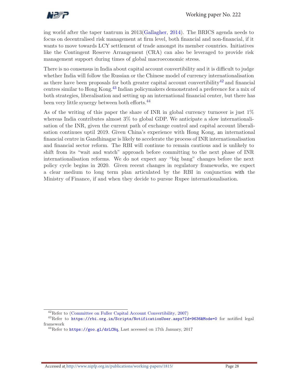

ing world after the taper tantrum in 2013(Gallagher, 2014). The BRICS agenda needs to focus on decentralised risk management at firm level, both financial and non-financial, if it wants to move towards LCY settlement of trade amongst its member countries. Initiatives like the Contingent Reserve Arrangement (CRA) can also be leveraged to provide risk management support during times of global macroeconomic stress.

There is no consensus in India about capital account convertibility and it is difficult to judge whether India will follow the Russian or the Chinese model of currency internationalisation as there have been proposals for both greater capital account convertibility<sup>42</sup> and financial centres similar to Hong Kong. <sup>43</sup> Indian policymakers demonstrated a preference for a mix of both strategies, liberalisation and setting up an international financial center, but there has been very little synergy between both efforts.<sup>44</sup>

As of the writing of this paper the share of INR in global currency turnover is just 1% whereas India contributes almost 3% to global GDP. We anticipate a slow internationalisation of the INR, given the current path of exchange control and capital account liberalisation continues uptil 2019. Given China's experience with Hong Kong, an international financial centre in Gandhinagar is likely to accelerate the process of INR internationalisation and financial sector reform. The RBI will continue to remain cautious and is unlikely to shift from its "wait and watch" approach before committing to the next phase of INR internationalisation reforms. We do not expect any "big bang" changes before the next policy cycle begins in 2020. Given recent changes in regulatory frameworks, we expect a clear medium to long term plan articulated by the RBI in conjunction with the Ministry of Finance, if and when they decide to pursue Rupee internationalisation.

<sup>42</sup>Refer to (Committee on Fuller Capital Account Convertibility, 2007)

<sup>43</sup>Refer to https://rbi.org.in/Scripts/NotificationUser.aspx?Id=9636&Mode=0 for notified legal framework

<sup>44</sup>Refer to https://goo.gl/drLCHq, Last aceessed on 17th January, 2017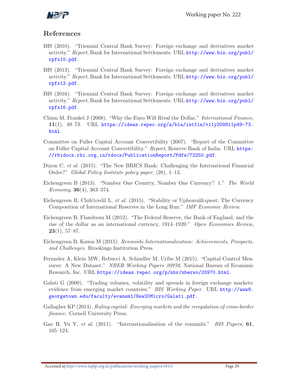

## References

- BIS (2010). "Triennial Central Bank Survey: Foreign exchange and derivatives market activity." Report, Bank for International Settlements. URL http://www.bis.org/publ/ rpfx10.pdf.
- BIS (2013). "Triennial Central Bank Survey: Foreign exchange and derivatives market activity." Report, Bank for International Settlements. URL http://www.bis.org/publ/ rpfx13.pdf.
- BIS (2016). "Triennial Central Bank Survey: Foreign exchange and derivatives market activity." Report, Bank for International Settlements. URL http://www.bis.org/publ/ rpfx16.pdf.
- Chinn M, Frankel J (2008). "Why the Euro Will Rival the Dollar." International Finance, 11(1),  $49-73$ . URL https://ideas.repec.org/a/bla/intfin/v11y2008i1p49-73. html.
- Committee on Fuller Capital Account Convertibility (2007). "Report of the Committee on Fuller Capital Account Convertibility." Report, Reserve Bank of India. URL https: //rbidocs.rbi.org.in/rdocs/PublicationReport/Pdfs/72250.pdf.
- Dixon C, et al. (2015). "The New BRICS Bank: Challenging the International Financial Order?" Global Policy Institute policy paper, (28), 1–13.
- Eichengreen B (2013). "Number One Country, Number One Currency? 1." The World Economy, **36**(4), 363–374.
- Eichengreen B, Chi&tcedil L, et al. (2015). "Stability or Upheaval? The Currency Composition of International Reserves in the Long Run." IMF Economic Review.
- Eichengreen B, Flandreau M (2012). "The Federal Reserve, the Bank of England, and the rise of the dollar as an international currency, 1914–1939." Open Economies Review,  $23(1), 57-87.$
- Eichengreen B, Kawai M (2015). Renminbi Internationalization: Achievements, Prospects, and Challenges. Brookings Institution Press.
- Fernndez A, Klein MW, Rebucci A, Schindler M, Uribe M (2015). "Capital Control Measures: A New Dataset." NBER Working Papers 20970, National Bureau of Economic Research, Inc. URL https://ideas.repec.org/p/nbr/nberwo/20970.html.
- Galati G (2000). "Trading volumes, volatility and spreads in foreign exchange markets: evidence from emerging market countries." BIS Working Paper. URL http://www9. georgetown.edu/faculty/evansm1/New20Micro/Galati.pdf.
- Gallagher KP (2014). Ruling capital: Emerging markets and the reregulation of cross-border finance. Cornell University Press.
- Gao H, Yu Y, et al. (2011). "Internationalisation of the renminbi." BIS Papers, 61, 105–124.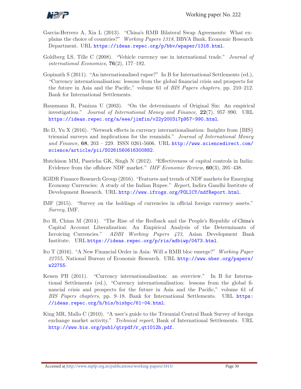

- Garcia-Herrero A, Xia L (2013). "China's RMB Bilateral Swap Agreements: What explains the choice of countries?" Working Papers 1318, BBVA Bank, Economic Research Department. URL https://ideas.repec.org/p/bbv/wpaper/1318.html.
- Goldberg LS, Tille C (2008). "Vehicle currency use in international trade." *Journal of* international Economics,  $76(2)$ , 177-192.
- Gopinath S (2011). "An internationalised rupee?" In B for International Settlements (ed.), "Currency internationalisation: lessons from the global financial crisis and prospects for the future in Asia and the Pacific," volume 61 of BIS Papers chapters, pp. 210–212. Bank for International Settlements.
- Hausmann R, Panizza U (2003). "On the determinants of Original Sin: An empirical investigation." Journal of International Money and Finance, 22(7), 957–990. URL https://ideas.repec.org/a/eee/jimfin/v22y2003i7p957-990.html.
- He D, Yu X (2016). "Network effects in currency internationalisation: Insights from {BIS} triennial surveys and implications for the renminbi." Journal of International Money and Finance,  $68$ ,  $203 - 229$ . ISSN 0261-5606. URL http://www.sciencedirect.com/ science/article/pii/S0261560616300882.
- Hutchison MM, Pasricha GK, Singh N (2012). "Effectiveness of capital controls in India: Evidence from the offshore NDF market." IMF Economic Review, 60(3), 395–438.
- IGIDR Finance Research Group (2016). "Features and trends of NDF markets for Emerging Economy Currencies: A study of the Indian Rupee." Report, Indira Gandhi Institute of Development Research. URL http://www.ifrogs.org/POLICY/ndfReport.html.
- IMF (2015). "Survey on the holdings of currencies in official foreign currency assets." Survey, IMF.
- Ito H, Chinn M (2014). "The Rise of the Redback and the People's Republic of China's Capital Account Liberalization: An Empirical Analysis of the Determinants of Invoicing Currencies." ADBI Working Papers 473, Asian Development Bank Institute. URL https://ideas.repec.org/p/ris/adbiwp/0473.html.
- Ito T (2016). "A New Financial Order in Asia: Will a RMB bloc emerge?" Working Paper 22755, National Bureau of Economic Research. URL http://www.nber.org/papers/ w22755.
- Kenen PB (2011). "Currency internationalisation: an overview." In B for International Settlements (ed.), "Currency internationalisation: lessons from the global financial crisis and prospects for the future in Asia and the Pacific," volume 61 of BIS Papers chapters, pp. 9–18. Bank for International Settlements. URL https: //ideas.repec.org/h/bis/bisbpc/61-04.html.
- King MR, Mallo C (2010). "A user's guide to the Triennial Central Bank Survey of foreign exchange market activity." Technical report, Bank of International Settlements. URL http://www.bis.org/publ/qtrpdf/r\_qt1012h.pdf.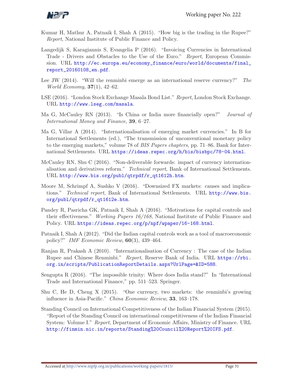

- Kumar H, Mathur A, Patnaik I, Shah A (2015). "How big is the trading in the Rupee?" Report, National Institute of Public Finance and Policy.
- Langedijk S, Karagiannis S, Evangelia P (2016). "Invoicing Currencies in International Trade - Drivers and Obstacles to the Use of the Euro." Report, European Commission. URL http://ec.europa.eu/economy\_finance/euro/world/documents/final\_ report\_20160108\_en.pdf.
- Lee JW (2014). "Will the renminbi emerge as an international reserve currency?" The World Economy, 37(1), 42–62.
- LSE (2016). "London Stock Exchange Masala Bond List." Report, London Stock Exchange. URL http://www.lseg.com/masala.
- Ma G, McCauley RN (2013). "Is China or India more financially open?" Journal of International Money and Finance, 39, 6–27.
- Ma G, Villar A (2014). "Internationalisation of emerging market currencies." In B for International Settlements (ed.), "The transmission of unconventional monetary policy to the emerging markets," volume 78 of BIS Papers chapters, pp. 71–86. Bank for International Settlements. URL https://ideas.repec.org/h/bis/bisbpc/78-04.html.
- McCauley RN, Shu C (2016). "Non-deliverable forwards: impact of currency internationalisation and derivatives reform." Technical report, Bank of International Settlements. URL http://www.bis.org/publ/qtrpdf/r\_qt1612h.htm.
- Moore M, Schrimpf A, Sushko V (2016). "Downsized FX markets: causes and implications." Technical report, Bank of International Settlements. URL http://www.bis. org/publ/qtrpdf/r\_qt1612e.htm.
- Pandey R, Pasricha GK, Patnaik I, Shah A (2016). "Motivations for capital controls and their effectiveness." Working Papers 16/168, National Institute of Public Finance and Policy. URL https://ideas.repec.org/p/npf/wpaper/16-168.html.
- Patnaik I, Shah A (2012). "Did the Indian capital controls work as a tool of macroeconomic policy?" IMF Economic Review, 60(3), 439–464.
- Ranjan R, Prakash A (2010). "Internationalisation of Currency : The case of the Indian Rupee and Chinese Renminbi." Report, Reserve Bank of India. URL https://rbi. org.in/scripts/PublicationReportDetails.aspx?UrlPage=&ID=588.
- Sengupta R (2016). "The impossible trinity: Where does India stand?" In "International Trade and International Finance," pp. 511–523. Springer.
- Shu C, He D, Cheng X (2015). "One currency, two markets: the renminbi's growing influence in Asia-Pacific." China Economic Review, 33, 163–178.
- Standing Council on International Competitiveness of the Indian Financial System (2015). "Report of the Standing Council on international competitiveness of the Indian Financial System: Volume I." Report, Department of Economic Affairs, Ministry of Finance. URL http://finmin.nic.in/reports/Standing%20Council%20Report%20IFS.pdf.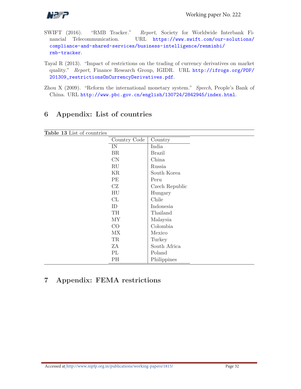

- SWIFT (2016). "RMB Tracker." Report, Society for Worldwide Interbank Financial Telecommunication. URL https://www.swift.com/our-solutions/ compliance-and-shared-services/business-intelligence/renminbi/ rmb-tracker.
- Tayal R (2013). "Impact of restrictions on the trading of currency derivatives on market quality." Report, Finance Research Group, IGIDR. URL http://ifrogs.org/PDF/ 201309\_restrictionsOnCurrencyDerivatives.pdf.
- Zhou X (2009). "Reform the international monetary system." Speech, People's Bank of China. URL http://www.pbc.gov.cn/english/130724/2842945/index.html.

| Table 13 List of countries |              |                |  |  |
|----------------------------|--------------|----------------|--|--|
|                            | Country Code | Country        |  |  |
|                            | IN           | India          |  |  |
|                            | BR           | <b>Brazil</b>  |  |  |
|                            | CN           | China          |  |  |
|                            | RU           | Russia         |  |  |
|                            | KR           | South Korea    |  |  |
|                            | PE           | Peru           |  |  |
|                            | CZ           | Czech Republic |  |  |
|                            | HU           | Hungary        |  |  |
|                            | CL           | Chile          |  |  |
|                            | ID           | Indonesia      |  |  |
|                            | TH           | Thailand       |  |  |
|                            | <b>MY</b>    | Malaysia       |  |  |
|                            | CO           | Colombia       |  |  |
|                            | <b>MX</b>    | Mexico         |  |  |
|                            | TR           | Turkey         |  |  |
|                            | ZΑ           | South Africa   |  |  |
|                            | PL           | Poland         |  |  |
|                            | PH           | Philippines    |  |  |

# 6 Appendix: List of countries

## 7 Appendix: FEMA restrictions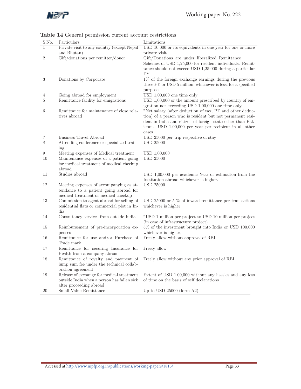

|                | <b>Table 14</b> General permission current account restrictions                                                           |                                                                                                                                                                                                                                                                                                      |
|----------------|---------------------------------------------------------------------------------------------------------------------------|------------------------------------------------------------------------------------------------------------------------------------------------------------------------------------------------------------------------------------------------------------------------------------------------------|
| S.No.          | Particulars                                                                                                               | Limitations                                                                                                                                                                                                                                                                                          |
| $\mathbf{1}$   | Private visit to any country (except Nepal                                                                                | $\text{USD }10,000$ or its equivalents in one year for one or more                                                                                                                                                                                                                                   |
|                | and Bhutan)                                                                                                               | private visit.                                                                                                                                                                                                                                                                                       |
| 2              | Gift/donations per remitter/donor                                                                                         | Gift/Donations are under liberalized Remittance<br>Schemes of USD 1,25,000 for resident individuals. Remit-<br>tance should not exceed USD 1,25,000 during a particular<br>FY                                                                                                                        |
| $\sqrt{3}$     | Donations by Corporate                                                                                                    | 1% of the foreign exchange earnings during the previous<br>three FY or USD 5 million, whichever is less, for a specified<br>purpose                                                                                                                                                                  |
| 4              | Going abroad for employment                                                                                               | USD $1,00,000$ one time only                                                                                                                                                                                                                                                                         |
| 5              | Remittance facility for emigrations                                                                                       | USD $1,00,000$ or the amount prescribed by country of em-                                                                                                                                                                                                                                            |
| 6              | Remittance for maintenance of close rela-<br>tives abroad                                                                 | igration not exceeding USD 1,00,000 one time only.<br>"Net salary (after deduction of tax, PF and other deduc-<br>tion) of a person who is resident but not permanent resi-<br>dent in India and citizen of foreign state other than Pak-<br>istan. USD 1,00,000 per year per recipient in all other |
|                |                                                                                                                           | cases                                                                                                                                                                                                                                                                                                |
| $\overline{7}$ | <b>Business Travel Abroad</b>                                                                                             | USD 25000 per trip respective of stay                                                                                                                                                                                                                                                                |
| 8              | Attending conference or specialized train-                                                                                | USD 25000                                                                                                                                                                                                                                                                                            |
|                | ing                                                                                                                       |                                                                                                                                                                                                                                                                                                      |
| 9              | Meeting expenses of Medical treatment                                                                                     | USD 1,00,000                                                                                                                                                                                                                                                                                         |
| 10             | Maintenance expenses of a patient going<br>for medical treatment of medical checkup<br>abroad                             | <b>USD 25000</b>                                                                                                                                                                                                                                                                                     |
| 11             | Studies abroad                                                                                                            | $\text{USD } 1,00,000$ per academic Year or estimation from the<br>Institution abroad whichever is higher.                                                                                                                                                                                           |
| 12             | Meeting expenses of accompanying as at-<br>tendance to a patient going abroad for<br>medical treatment or medical checkup | <b>USD 25000</b>                                                                                                                                                                                                                                                                                     |
| 13             | Commission to agent abroad for selling of<br>residential flats or commercial plot in In-                                  | USD 25000 or 5 $\%$ of inward remittance per transactions<br>whichever is higher                                                                                                                                                                                                                     |
|                | dia                                                                                                                       |                                                                                                                                                                                                                                                                                                      |
| 14             | Consultancy services from outside India                                                                                   | "USD 1 million per project to USD 10 million per project<br>(in case of infrastructure project)                                                                                                                                                                                                      |
| 15             | Reimbursement of pre-incorporation ex-<br>penses                                                                          | $5\%$ of the investment brought into India or USD 100,000<br>whichever is higher,                                                                                                                                                                                                                    |
| 16             | Remittance for use and/or Purchase of<br>Trade mark                                                                       | Freely allow without approval of RBI                                                                                                                                                                                                                                                                 |
| 17             | Remittance for securing Insurance for<br>Health from a company abroad                                                     | Freely allow                                                                                                                                                                                                                                                                                         |
| 18             | Remittance of royalty and payment of<br>lump sum fee under the technical collab-<br>oration agreement                     | Freely allow without any prior approval of RBI                                                                                                                                                                                                                                                       |
| 19             | Release of exchange for medical treatment<br>outside India when a person has fallen sick<br>after proceeding abroad       | Extent of USD 1,00,000 without any hassles and any loss<br>of time on the basis of self declarations                                                                                                                                                                                                 |
| 20             | Small Value Remittance                                                                                                    | Up to USD $25000$ (form A2)                                                                                                                                                                                                                                                                          |

Table 14 General permission current account restrictions